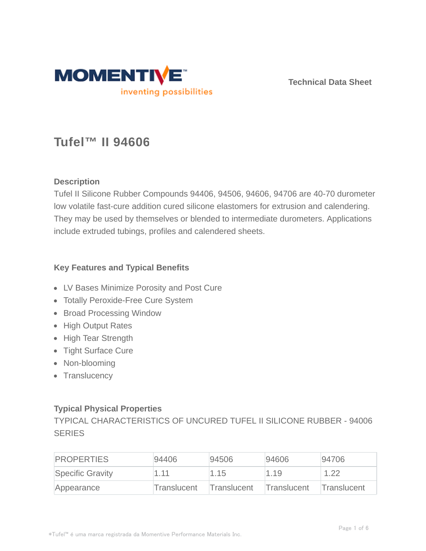

**Technical Data Sheet**

# **Tufel™ II 94606**

## **Description**

Tufel II Silicone Rubber Compounds 94406, 94506, 94606, 94706 are 40-70 durometer low volatile fast-cure addition cured silicone elastomers for extrusion and calendering. They may be used by themselves or blended to intermediate durometers. Applications include extruded tubings, profiles and calendered sheets.

### **Key Features and Typical Benefits**

- LV Bases Minimize Porosity and Post Cure
- Totally Peroxide-Free Cure System
- Broad Processing Window
- High Output Rates
- High Tear Strength
- Tight Surface Cure
- Non-blooming
- Translucency

## **Typical Physical Properties**

TYPICAL CHARACTERISTICS OF UNCURED TUFEL II SILICONE RUBBER - 94006 **SERIES** 

| <b>PROPERTIES</b> | 94406       | 94506       | 94606       | 94706       |
|-------------------|-------------|-------------|-------------|-------------|
| Specific Gravity  | 1.11        | 1.15        | 1.19        | 1.22        |
| Appearance        | Translucent | Translucent | Translucent | Translucent |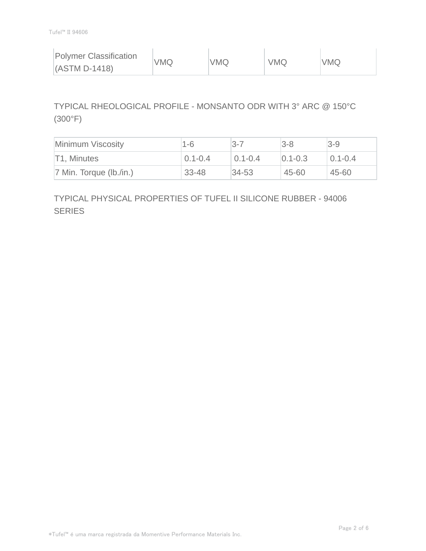| <b>Polymer Classification</b> | VMQ | <b>VMQ</b> | <b>VMQ</b> | <b>VMQ</b> |
|-------------------------------|-----|------------|------------|------------|
| $(ASTM D-1418)$               |     |            |            |            |

# TYPICAL RHEOLOGICAL PROFILE - MONSANTO ODR WITH 3° ARC @ 150°C (300°F)

| Minimum Viscosity          | $1 - 6$     | $3 - 7$     | $3-8$         | $3-9$       |
|----------------------------|-------------|-------------|---------------|-------------|
| T1, Minutes                | $0.1 - 0.4$ | $0.1 - 0.4$ | $ 0.1 - 0.3 $ | $0.1 - 0.4$ |
| $ 7$ Min. Torque (lb./in.) | $33 - 48$   | $34 - 53$   | 45-60         | 45-60       |

# TYPICAL PHYSICAL PROPERTIES OF TUFEL II SILICONE RUBBER - 94006 **SERIES**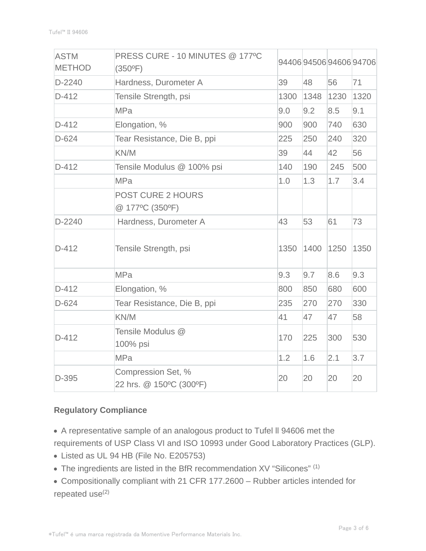| <b>ASTM</b><br><b>METHOD</b> | PRESS CURE - 10 MINUTES @ 177°C<br>$(350^{\circ}F)$ |      |      |      | 94406945069460694706 |
|------------------------------|-----------------------------------------------------|------|------|------|----------------------|
| D-2240                       | Hardness, Durometer A                               | 39   | 48   | 56   | 71                   |
| $D-412$                      | Tensile Strength, psi                               | 1300 | 1348 | 1230 | 1320                 |
|                              | <b>MPa</b>                                          | 9.0  | 9.2  | 8.5  | 9.1                  |
| $D-412$                      | Elongation, %                                       | 900  | 900  | 740  | 630                  |
| $D-624$                      | Tear Resistance, Die B, ppi                         | 225  | 250  | 240  | 320                  |
|                              | KN/M                                                | 39   | 44   | 42   | 56                   |
| $D-412$                      | Tensile Modulus @ 100% psi                          | 140  | 190  | 245  | 500                  |
|                              | <b>MPa</b>                                          | 1.0  | 1.3  | 1.7  | 3.4                  |
|                              | <b>POST CURE 2 HOURS</b><br>@ 177°C (350°F)         |      |      |      |                      |
| $D-2240$                     | Hardness, Durometer A                               | 43   | 53   | 61   | 73                   |
| D-412                        | Tensile Strength, psi                               | 1350 | 1400 | 1250 | 1350                 |
|                              | <b>MPa</b>                                          | 9.3  | 9.7  | 8.6  | 9.3                  |
| $D-412$                      | Elongation, %                                       | 800  | 850  | 680  | 600                  |
| $D-624$                      | Tear Resistance, Die B, ppi                         | 235  | 270  | 270  | 330                  |
|                              | KN/M                                                | 41   | 47   | 47   | 58                   |
| $D-412$                      | Tensile Modulus @<br>100% psi                       | 170  | 225  | 300  | 530                  |
|                              | <b>MPa</b>                                          | 1.2  | 1.6  | 2.1  | 3.7                  |
| D-395                        | Compression Set, %<br>22 hrs. @ 150°C (300°F)       | 20   | 20   | 20   | 20                   |

## **Regulatory Compliance**

- A representative sample of an analogous product to Tufel ll 94606 met the
- requirements of USP Class VI and ISO 10993 under Good Laboratory Practices (GLP).
- Listed as UL 94 HB (File No. E205753)
- The ingredients are listed in the BfR recommendation XV "Silicones" (1)
- Compositionally compliant with 21 CFR 177.2600 Rubber articles intended for repeated use $(2)$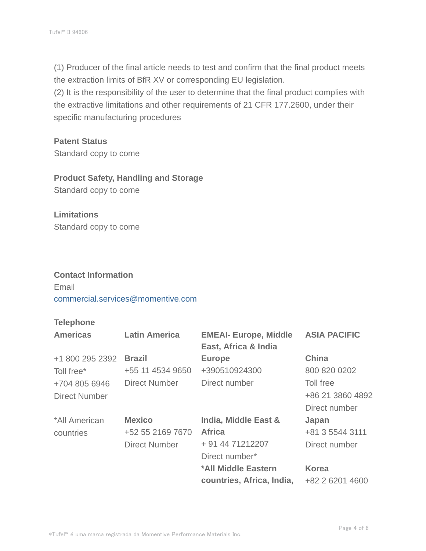(1) Producer of the final article needs to test and confirm that the final product meets the extraction limits of BfR XV or corresponding EU legislation.

(2) It is the responsibility of the user to determine that the final product complies with the extractive limitations and other requirements of 21 CFR 177.2600, under their specific manufacturing procedures

#### **Patent Status**

Standard copy to come

# **Product Safety, Handling and Storage**

Standard copy to come

# **Limitations** Standard copy to come

#### **Contact Information**

Email commercial.services@momentive.com

#### **Telephone**

| <b>Americas</b> | <b>Latin America</b> | <b>EMEAI- Europe, Middle</b><br>East, Africa & India | <b>ASIA PACIFIC</b> |
|-----------------|----------------------|------------------------------------------------------|---------------------|
| +1 800 295 2392 | <b>Brazil</b>        | <b>Europe</b>                                        | <b>China</b>        |
| Toll free*      | +55 11 4534 9650     | +390510924300                                        | 800 820 0202        |
| +704 805 6946   | Direct Number        | Direct number                                        | Toll free           |
| Direct Number   |                      |                                                      | +86 21 3860 4892    |
|                 |                      |                                                      | Direct number       |
| *All American   | <b>Mexico</b>        | India, Middle East &                                 | Japan               |
| countries       | +52 55 2169 7670     | <b>Africa</b>                                        | +81 3 5544 3111     |
|                 | <b>Direct Number</b> | + 91 44 71212207                                     | Direct number       |
|                 |                      | Direct number*                                       |                     |
|                 |                      | *All Middle Eastern                                  | <b>Korea</b>        |
|                 |                      | countries, Africa, India,                            | +82 2 6201 4600     |
|                 |                      |                                                      |                     |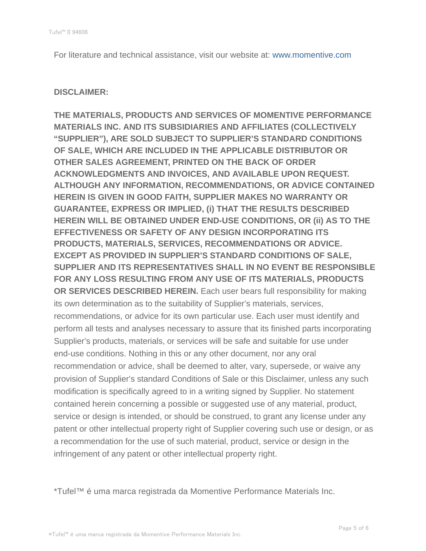For literature and technical assistance, visit our website at: www.momentive.com

#### **DISCLAIMER:**

**THE MATERIALS, PRODUCTS AND SERVICES OF MOMENTIVE PERFORMANCE MATERIALS INC. AND ITS SUBSIDIARIES AND AFFILIATES (COLLECTIVELY "SUPPLIER"), ARE SOLD SUBJECT TO SUPPLIER'S STANDARD CONDITIONS OF SALE, WHICH ARE INCLUDED IN THE APPLICABLE DISTRIBUTOR OR OTHER SALES AGREEMENT, PRINTED ON THE BACK OF ORDER ACKNOWLEDGMENTS AND INVOICES, AND AVAILABLE UPON REQUEST. ALTHOUGH ANY INFORMATION, RECOMMENDATIONS, OR ADVICE CONTAINED HEREIN IS GIVEN IN GOOD FAITH, SUPPLIER MAKES NO WARRANTY OR GUARANTEE, EXPRESS OR IMPLIED, (i) THAT THE RESULTS DESCRIBED HEREIN WILL BE OBTAINED UNDER END-USE CONDITIONS, OR (ii) AS TO THE EFFECTIVENESS OR SAFETY OF ANY DESIGN INCORPORATING ITS PRODUCTS, MATERIALS, SERVICES, RECOMMENDATIONS OR ADVICE. EXCEPT AS PROVIDED IN SUPPLIER'S STANDARD CONDITIONS OF SALE, SUPPLIER AND ITS REPRESENTATIVES SHALL IN NO EVENT BE RESPONSIBLE FOR ANY LOSS RESULTING FROM ANY USE OF ITS MATERIALS, PRODUCTS OR SERVICES DESCRIBED HEREIN.** Each user bears full responsibility for making its own determination as to the suitability of Supplier's materials, services, recommendations, or advice for its own particular use. Each user must identify and perform all tests and analyses necessary to assure that its finished parts incorporating Supplier's products, materials, or services will be safe and suitable for use under end-use conditions. Nothing in this or any other document, nor any oral recommendation or advice, shall be deemed to alter, vary, supersede, or waive any provision of Supplier's standard Conditions of Sale or this Disclaimer, unless any such modification is specifically agreed to in a writing signed by Supplier. No statement contained herein concerning a possible or suggested use of any material, product, service or design is intended, or should be construed, to grant any license under any patent or other intellectual property right of Supplier covering such use or design, or as a recommendation for the use of such material, product, service or design in the infringement of any patent or other intellectual property right.

\*Tufel™ é uma marca registrada da Momentive Performance Materials Inc.